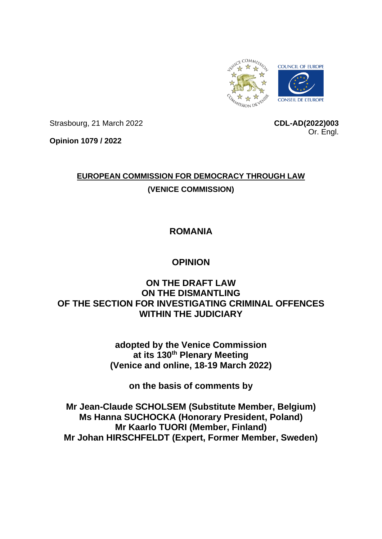

Strasbourg, 21 March 2022

**CDL-AD(2022)003** Or. Engl.

**Opinion 1079 / 2022**

# **EUROPEAN COMMISSION FOR DEMOCRACY THROUGH LAW (VENICE COMMISSION)**

## **ROMANIA**

## **OPINION**

## **ON THE DRAFT LAW ON THE DISMANTLING OF THE SECTION FOR INVESTIGATING CRIMINAL OFFENCES WITHIN THE JUDICIARY**

**adopted by the Venice Commission at its 130th Plenary Meeting (Venice and online, 18-19 March 2022)**

**on the basis of comments by** 

**Mr Jean-Claude SCHOLSEM (Substitute Member, Belgium) Ms Hanna SUCHOCKA (Honorary President, Poland) Mr Kaarlo TUORI (Member, Finland) Mr Johan HIRSCHFELDT (Expert, Former Member, Sweden)**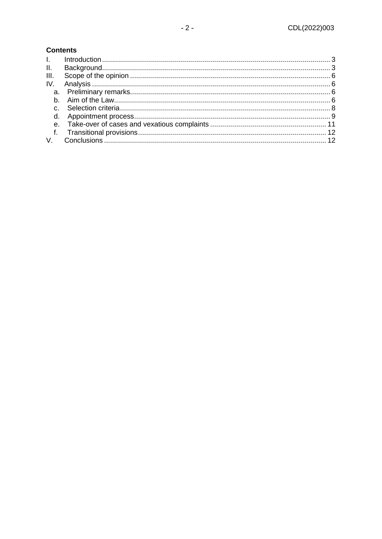#### **Contents**

| $\Pi$ . |  |
|---------|--|
| III.    |  |
|         |  |
|         |  |
|         |  |
|         |  |
|         |  |
|         |  |
|         |  |
|         |  |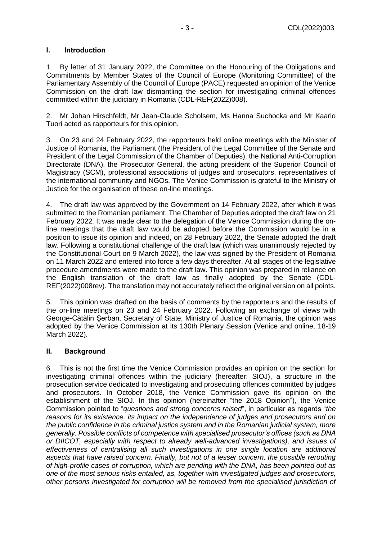#### <span id="page-2-0"></span>**I. Introduction**

1. By letter of 31 January 2022, the Committee on the Honouring of the Obligations and Commitments by Member States of the Council of Europe (Monitoring Committee) of the Parliamentary Assembly of the Council of Europe (PACE) requested an opinion of the Venice Commission on the draft law dismantling the section for investigating criminal offences committed within the judiciary in Romania (CDL-REF(2022)008).

2. Mr Johan Hirschfeldt, Mr Jean-Claude Scholsem, Ms Hanna Suchocka and Mr Kaarlo Tuori acted as rapporteurs for this opinion.

3. On 23 and 24 February 2022, the rapporteurs held online meetings with the Minister of Justice of Romania, the Parliament (the President of the Legal Committee of the Senate and President of the Legal Commission of the Chamber of Deputies), the National Anti-Corruption Directorate (DNA), the Prosecutor General, the acting president of the Superior Council of Magistracy (SCM), professional associations of judges and prosecutors, representatives of the international community and NGOs. The Venice Commission is grateful to the Ministry of Justice for the organisation of these on-line meetings.

4. The draft law was approved by the Government on 14 February 2022, after which it was submitted to the Romanian parliament. The Chamber of Deputies adopted the draft law on 21 February 2022. It was made clear to the delegation of the Venice Commission during the online meetings that the draft law would be adopted before the Commission would be in a position to issue its opinion and indeed, on 28 February 2022, the Senate adopted the draft law. Following a constitutional challenge of the draft law (which was unanimously rejected by the Constitutional Court on 9 March 2022), the law was signed by the President of Romania on 11 March 2022 and entered into force a few days thereafter. At all stages of the legislative procedure amendments were made to the draft law. This opinion was prepared in reliance on the English translation of the draft law as finally adopted by the Senate (CDL-REF(2022)008rev). The translation may not accurately reflect the original version on all points.

5. This opinion was drafted on the basis of comments by the rapporteurs and the results of the on-line meetings on 23 and 24 February 2022. Following an exchange of views with George-Cătălin Şerban, Secretary of State, Ministry of Justice of Romania, the opinion was adopted by the Venice Commission at its 130th Plenary Session (Venice and online, 18-19 March 2022).

#### <span id="page-2-1"></span>**II. Background**

6. This is not the first time the Venice Commission provides an opinion on the section for investigating criminal offences within the judiciary (hereafter: SIOJ), a structure in the prosecution service dedicated to investigating and prosecuting offences committed by judges and prosecutors. In October 2018, the Venice Commission gave its opinion on the establishment of the SIOJ. In this opinion (hereinafter "the 2018 Opinion"), the Venice Commission pointed to "*questions and strong concerns raised*", in particular as regards "*the reasons for its existence, its impact on the independence of judges and prosecutors and on the public confidence in the criminal justice system and in the Romanian judicial system, more generally. Possible conflicts of competence with specialised prosecutor's offices (such as DNA or DIICOT, especially with respect to already well-advanced investigations), and issues of effectiveness of centralising all such investigations in one single location are additional aspects that have raised concern. Finally, but not of a lesser concern, the possible rerouting of high-profile cases of corruption, which are pending with the DNA, has been pointed out as one of the most serious risks entailed, as, together with investigated judges and prosecutors, other persons investigated for corruption will be removed from the specialised jurisdiction of*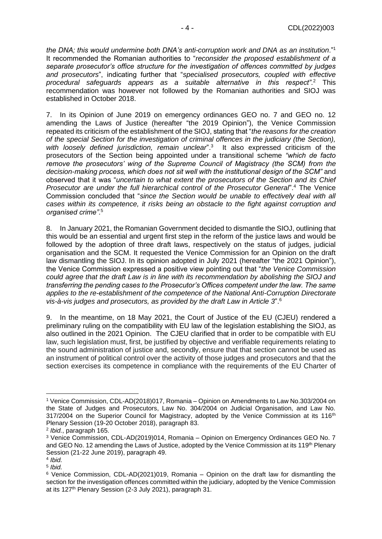*the DNA; this would undermine both DNA's anti-corruption work and DNA as an institution*."<sup>1</sup> It recommended the Romanian authorities to "*reconsider the proposed establishment of a separate prosecutor's office structure for the investigation of offences committed by judges and prosecutors*", indicating further that "*specialised prosecutors, coupled with effective procedural safeguards appears as a suitable alternative in this respect".*<sup>2</sup> This recommendation was however not followed by the Romanian authorities and SIOJ was established in October 2018.

7. In its Opinion of June 2019 on emergency ordinances GEO no. 7 and GEO no. 12 amending the Laws of Justice (hereafter "the 2019 Opinion"), the Venice Commission repeated its criticism of the establishment of the SIOJ, stating that "*the reasons for the creation of the special Section for the investigation of criminal offences in the judiciary (the Section),*  with loosely defined jurisdiction, remain unclear".<sup>3</sup> It also expressed criticism of the prosecutors of the Section being appointed under a transitional scheme *"which de facto remove the prosecutors' wing of the Supreme Council of Magistracy (the SCM) from the decision-making process, which does not sit well with the institutional design of the SCM"* and observed that it was "*uncertain to what extent the prosecutors of the Section and its Chief Prosecutor are under the full hierarchical control of the Prosecutor General*".<sup>4</sup> The Venice Commission concluded that "*since the Section would be unable to effectively deal with all cases within its competence, it risks being an obstacle to the fight against corruption and organised crime".*<sup>5</sup>

8. In January 2021, the Romanian Government decided to dismantle the SIOJ, outlining that this would be an essential and urgent first step in the reform of the justice laws and would be followed by the adoption of three draft laws, respectively on the status of judges, judicial organisation and the SCM. It requested the Venice Commission for an Opinion on the draft law dismantling the SIOJ. In its opinion adopted in July 2021 (hereafter "the 2021 Opinion"), the Venice Commission expressed a positive view pointing out that "*the Venice Commission could agree that the draft Law is in line with its recommendation by abolishing the SIOJ and transferring the pending cases to the Prosecutor's Offices competent under the law. The same applies to the re-establishment of the competence of the National Anti-Corruption Directorate vis-à-vis judges and prosecutors, as provided by the draft Law in Article 3*".<sup>6</sup>

9. In the meantime, on 18 May 2021, the Court of Justice of the EU (CJEU) rendered a preliminary ruling on the compatibility with EU law of the legislation establishing the SIOJ, as also outlined in the 2021 Opinion. The CJEU clarified that in order to be compatible with EU law, such legislation must, first, be justified by objective and verifiable requirements relating to the sound administration of justice and, secondly, ensure that that section cannot be used as an instrument of political control over the activity of those judges and prosecutors and that the section exercises its competence in compliance with the requirements of the EU Charter of

<sup>1</sup> Venice Commission, CDL-AD(2018)017, Romania – Opinion on Amendments to Law No.303/2004 on the State of Judges and Prosecutors, Law No. 304/2004 on Judicial Organisation, and Law No.  $317/2004$  on the Superior Council for Magistracy, adopted by the Venice Commission at its  $116<sup>th</sup>$ Plenary Session (19-20 October 2018), paragraph 83.

<sup>2</sup> *Ibid.*, paragraph 165.

<sup>3</sup> Venice Commission, CDL-AD(2019)014, Romania – Opinion on Emergency Ordinances GEO No. 7 and GEO No. 12 amending the Laws of Justice, adopted by the Venice Commission at its 119<sup>th</sup> Plenary Session (21-22 June 2019), paragraph 49.

<sup>4</sup> *Ibid.* 

<sup>5</sup> *Ibid.* 

 $6$  Venice Commission, CDL-AD(2021)019, Romania – Opinion on the draft law for dismantling the section for the investigation offences committed within the judiciary, adopted by the Venice Commission at its 127<sup>th</sup> Plenary Session (2-3 July 2021), paragraph 31.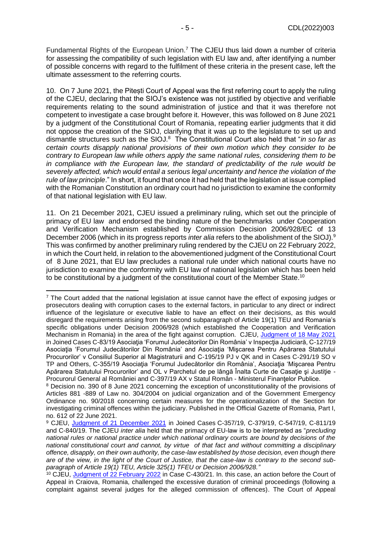Fundamental Rights of the European Union.<sup>7</sup> The CJEU thus laid down a number of criteria for assessing the compatibility of such legislation with EU law and, after identifying a number of possible concerns with regard to the fulfilment of these criteria in the present case, left the ultimate assessment to the referring courts.

10. On 7 June 2021, the Pitești Court of Appeal was the first referring court to apply the ruling of the CJEU, declaring that the SIOJ's existence was not justified by objective and verifiable requirements relating to the sound administration of justice and that it was therefore not competent to investigate a case brought before it. However, this was followed on 8 June 2021 by a judgment of the Constitutional Court of Romania, repeating earlier judgments that it did not oppose the creation of the SIOJ, clarifying that it was up to the legislature to set up and dismantle structures such as the SIOJ.<sup>8</sup> The Constitutional Court also held that "*in so far as certain courts disapply national provisions of their own motion which they consider to be contrary to European law while others apply the same national rules, considering them to be in compliance with the European law, the standard of predictability of the rule would be severely affected, which would entail a serious legal uncertainty and hence the violation of the rule of law principle*." In short, it found that once it had held that the legislation at issue complied with the Romanian Constitution an ordinary court had no jurisdiction to examine the conformity of that national legislation with EU law.

11. On 21 December 2021, CJEU issued a preliminary ruling, which set out the principle of primacy of EU law and endorsed the binding nature of the benchmarks under Cooperation and Verification Mechanism established by Commission Decision 2006/928/EC of 13 December 2006 (which in its progress reports *inter alia* refers to the abolishment of the SIOJ).<sup>9</sup> This was confirmed by another preliminary ruling rendered by the CJEU on 22 February 2022, in which the Court held, in relation to the abovementioned judgment of the Constitutional Court of 8 June 2021, that EU law precludes a national rule under which national courts have no jurisdiction to examine the conformity with EU law of national legislation which has been held to be constitutional by a judgment of the constitutional court of the Member State.<sup>10</sup>

<sup>&</sup>lt;sup>7</sup> The Court added that the national legislation at issue cannot have the effect of exposing judges or prosecutors dealing with corruption cases to the external factors, in particular to any direct or indirect influence of the legislature or executive liable to have an effect on their decisions, as this would disregard the requirements arising from the second subparagraph of Article 19(1) TEU and Romania's specific obligations under Decision 2006/928 (which established the Cooperation and Verification Mechanism in Romania) in the area of the fight against corruption. CJEU, [Judgment of 18 May 2021](https://curia.europa.eu/juris/document/document.jsf?text=&docid=241381&pageIndex=0&doclang=EN&mode=lst&dir=&occ=first&part=1&cid=879337) in Joined Cases C-83/19 Asociația 'Forumul Judecătorilor Din România' v Inspecția Judiciară, C-127/19 Asociaţia 'Forumul Judecătorilor Din România' and Asociaţia 'Mişcarea Pentru Apărarea Statutului Procurorilor' v Consiliul Superior al Magistraturii and C-195/19 PJ v QK and in Cases C-291/19 SO v TP and Others, C-355/19 Asociaţia 'Forumul Judecătorilor din România', Asociaţia 'Mişcarea Pentru Apărarea Statutului Procurorilor' and OL v Parchetul de pe lângă Înalta Curte de Casație și Justiție -Procurorul General al României and C-397/19 AX v Statul Român - Ministerul Finanţelor Publice.

<sup>8</sup> Decision no. 390 of 8 June 2021 concerning the exception of unconstitutionality of the provisions of Articles 881 -889 of Law no. 304/2004 on judicial organization and of the Government Emergency Ordinance no. 90/2018 concerning certain measures for the operationalization of the Section for investigating criminal offences within the judiciary. Published in the Official Gazette of Romania, Part I, no. 612 of 22 June 2021.

<sup>9</sup> CJEU, [Judgment of 21 December 2021](https://curia.europa.eu/juris/document/document.jsf?text=&docid=251504&pageIndex=0&doclang=FR&mode=lst&dir=&occ=first&part=1&cid=1014091) in Joined Cases C-357/19, C-379/19, C-547/19, C-811/19 and C-840/19. The CJEU *inter alia* held that the primacy of EU-law is to be interpreted as "*precluding national rules or national practice under which national ordinary courts are bound by decisions of the national constitutional court and cannot, by virtue of that fact and without committing a disciplinary offence, disapply, on their own authority, the case-law established by those decision, even though there are of the view, in the light of the Court of Justice, that the case-law is contrary to the second subparagraph of Article 19(1) TEU, Article 325(1) TFEU or Decision 2006/928."*

<sup>10</sup> CJEU, [Judgment of 22 February 2022](https://curia.europa.eu/juris/document/document.jsf?text=&docid=254384&pageIndex=0&doclang=EN&mode=req&dir=&occ=first&part=1&cid=2528307) in Case C-430/21. In. this case, an action before the Court of Appeal in Craiova, Romania, challenged the excessive duration of criminal proceedings (following a complaint against several judges for the alleged commission of offences). The Court of Appeal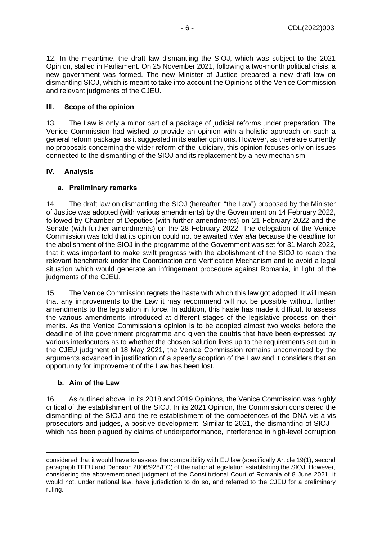12. In the meantime, the draft law dismantling the SIOJ, which was subject to the 2021 Opinion, stalled in Parliament. On 25 November 2021, following a two-month political crisis, a new government was formed. The new Minister of Justice prepared a new draft law on dismantling SIOJ, which is meant to take into account the Opinions of the Venice Commission and relevant judgments of the CJEU.

#### <span id="page-5-0"></span>**III. Scope of the opinion**

13. The Law is only a minor part of a package of judicial reforms under preparation. The Venice Commission had wished to provide an opinion with a holistic approach on such a general reform package, as it suggested in its earlier opinions. However, as there are currently no proposals concerning the wider reform of the judiciary, this opinion focuses only on issues connected to the dismantling of the SIOJ and its replacement by a new mechanism.

#### <span id="page-5-1"></span>**IV. Analysis**

#### <span id="page-5-2"></span>**a. Preliminary remarks**

14. The draft law on dismantling the SIOJ (hereafter: "the Law") proposed by the Minister of Justice was adopted (with various amendments) by the Government on 14 February 2022, followed by Chamber of Deputies (with further amendments) on 21 February 2022 and the Senate (with further amendments) on the 28 February 2022. The delegation of the Venice Commission was told that its opinion could not be awaited *inter alia* because the deadline for the abolishment of the SIOJ in the programme of the Government was set for 31 March 2022, that it was important to make swift progress with the abolishment of the SIOJ to reach the relevant benchmark under the Coordination and Verification Mechanism and to avoid a legal situation which would generate an infringement procedure against Romania, in light of the judgments of the CJEU.

15. The Venice Commission regrets the haste with which this law got adopted: It will mean that any improvements to the Law it may recommend will not be possible without further amendments to the legislation in force. In addition, this haste has made it difficult to assess the various amendments introduced at different stages of the legislative process on their merits. As the Venice Commission's opinion is to be adopted almost two weeks before the deadline of the government programme and given the doubts that have been expressed by various interlocutors as to whether the chosen solution lives up to the requirements set out in the CJEU judgment of 18 May 2021, the Venice Commission remains unconvinced by the arguments advanced in justification of a speedy adoption of the Law and it considers that an opportunity for improvement of the Law has been lost.

#### <span id="page-5-3"></span>**b. Aim of the Law**

16. As outlined above, in its 2018 and 2019 Opinions, the Venice Commission was highly critical of the establishment of the SIOJ. In its 2021 Opinion, the Commission considered the dismantling of the SIOJ and the re-establishment of the competences of the DNA vis-à-vis prosecutors and judges, a positive development. Similar to 2021, the dismantling of SIOJ – which has been plagued by claims of underperformance, interference in high-level corruption

considered that it would have to assess the compatibility with EU law (specifically Article 19(1), second paragraph TFEU and Decision 2006/928/EC) of the national legislation establishing the SIOJ. However, considering the abovementioned judgment of the Constitutional Court of Romania of 8 June 2021, it would not, under national law, have jurisdiction to do so, and referred to the CJEU for a preliminary ruling.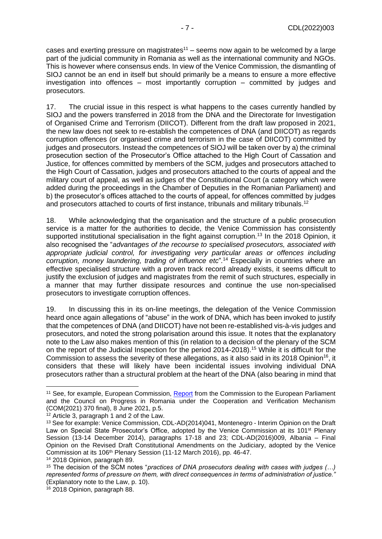cases and exerting pressure on magistrates $11 -$  seems now again to be welcomed by a large part of the judicial community in Romania as well as the international community and NGOs. This is however where consensus ends. In view of the Venice Commission, the dismantling of SIOJ cannot be an end in itself but should primarily be a means to ensure a more effective investigation into offences – most importantly corruption – committed by judges and prosecutors.

17. The crucial issue in this respect is what happens to the cases currently handled by SIOJ and the powers transferred in 2018 from the DNA and the Directorate for Investigation of Organised Crime and Terrorism (DIICOT). Different from the draft law proposed in 2021, the new law does not seek to re-establish the competences of DNA (and DIICOT) as regards corruption offences (or organised crime and terrorism in the case of DIICOT) committed by judges and prosecutors. Instead the competences of SIOJ will be taken over by a) the criminal prosecution section of the Prosecutor's Office attached to the High Court of Cassation and Justice, for offences committed by members of the SCM, judges and prosecutors attached to the High Court of Cassation, judges and prosecutors attached to the courts of appeal and the military court of appeal, as well as judges of the Constitutional Court (a category which were added during the proceedings in the Chamber of Deputies in the Romanian Parliament) and b) the prosecutor's offices attached to the courts of appeal, for offences committed by judges and prosecutors attached to courts of first instance, tribunals and military tribunals.<sup>12</sup>

18. While acknowledging that the organisation and the structure of a public prosecution service is a matter for the authorities to decide, the Venice Commission has consistently supported institutional specialisation in the fight against corruption.<sup>13</sup> In the 2018 Opinion, it also recognised the "*advantages of the recourse to specialised prosecutors, associated with appropriate judicial control, for investigating very particular areas or offences including corruption, money laundering, trading of influence etc*"*.* <sup>14</sup> Especially in countries where an effective specialised structure with a proven track record already exists, it seems difficult to justify the exclusion of judges and magistrates from the remit of such structures, especially in a manner that may further dissipate resources and continue the use non-specialised prosecutors to investigate corruption offences.

19. In discussing this in its on-line meetings, the delegation of the Venice Commission heard once again allegations of "abuse" in the work of DNA, which has been invoked to justify that the competences of DNA (and DIICOT) have not been re-established vis-à-vis judges and prosecutors, and noted the strong polarisation around this issue. It notes that the explanatory note to the Law also makes mention of this (in relation to a decision of the plenary of the SCM on the report of the Judicial Inspection for the period 2014-2018).<sup>15</sup> While it is difficult for the Commission to assess the severity of these allegations, as it also said in its 2018 Opinion<sup>16</sup>, it considers that these will likely have been incidental issues involving individual DNA prosecutors rather than a structural problem at the heart of the DNA (also bearing in mind that

<sup>&</sup>lt;sup>11</sup> See, for example, European Commission, [Report](https://ec.europa.eu/info/sites/default/files/progress_report_romania_com2021_370_fina.pdf) from the Commission to the European Parliament and the Council on Progress in Romania under the Cooperation and Verification Mechanism (COM(2021) 370 final), 8 June 2021, p.5.

<sup>12</sup> Article 3, paragraph 1 and 2 of the Law.

<sup>13</sup> See for example: Venice Commission, CDL-AD(2014)041, Montenegro - Interim Opinion on the Draft Law on Special State Prosecutor's Office, adopted by the Venice Commission at its 101<sup>st</sup> Plenary Session (13-14 December 2014), paragraphs 17-18 and 23; CDL-AD(2016)009, Albania – Final Opinion on the Revised Draft Constitutional Amendments on the Judiciary, adopted by the Venice Commission at its 106<sup>th</sup> Plenary Session (11-12 March 2016), pp. 46-47.

<sup>14</sup> 2018 Opinion, paragraph 89.

<sup>15</sup> The decision of the SCM notes "*practices of DNA prosecutors dealing with cases with judges (…) represented forms of pressure on them, with direct consequences in terms of administration of justice."*  (Explanatory note to the Law, p. 10).

<sup>16</sup> 2018 Opinion, paragraph 88.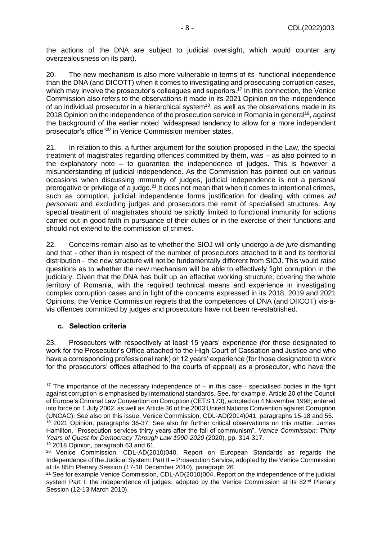the actions of the DNA are subject to judicial oversight, which would counter any overzealousness on its part).

20. The new mechanism is also more vulnerable in terms of its functional independence than the DNA (and DICOTT) when it comes to investigating and prosecuting corruption cases, which may involve the prosecutor's colleagues and superiors.<sup>17</sup> In this connection, the Venice Commission also refers to the observations it made in its 2021 Opinion on the independence of an individual prosecutor in a hierarchical system<sup>18</sup>, as well as the observations made in its 2018 Opinion on the independence of the prosecution service in Romania in general<sup>19</sup>, against the background of the earlier noted "widespread tendency to allow for a more independent prosecutor's office"<sup>20</sup> in Venice Commission member states.

21. In relation to this, a further argument for the solution proposed in the Law, the special treatment of magistrates regarding offences committed by them, was – as also pointed to in the explanatory note – to guarantee the independence of judges. This is however a misunderstanding of judicial independence. As the Commission has pointed out on various occasions when discussing immunity of judges, judicial independence is not a personal prerogative or privilege of a judge.<sup>21</sup> It does not mean that when it comes to intentional crimes, such as corruption, judicial independence forms justification for dealing with crimes *ad personam* and excluding judges and prosecutors the remit of specialised structures. Any special treatment of magistrates should be strictly limited to functional immunity for actions carried out in good faith in pursuance of their duties or in the exercise of their functions and should not extend to the commission of crimes.

22. Concerns remain also as to whether the SIOJ will only undergo a *de jure* dismantling and that - other than in respect of the number of prosecutors attached to it and its territorial distribution - the new structure will not be fundamentally different from SIOJ. This would raise questions as to whether the new mechanism will be able to effectively fight corruption in the judiciary. Given that the DNA has built up an effective working structure, covering the whole territory of Romania, with the required technical means and experience in investigating complex corruption cases and in light of the concerns expressed in its 2018, 2019 and 2021 Opinions, the Venice Commission regrets that the competences of DNA (and DIICOT) vis-àvis offences committed by judges and prosecutors have not been re-established.

#### <span id="page-7-0"></span>**c. Selection criteria**

23. Prosecutors with respectively at least 15 years' experience (for those designated to work for the Prosecutor's Office attached to the High Court of Cassation and Justice and who have a corresponding professional rank) or 12 years' experience (for those designated to work for the prosecutors' offices attached to the courts of appeal) as a prosecutor, who have the

<sup>&</sup>lt;sup>17</sup> The importance of the necessary independence of  $-$  in this case  $-$  specialised bodies in the fight against corruption is emphasised by international standards. See, for example, Article 20 of the Council of Europe's Criminal Law Convention on Corruption (CETS 173), adopted on 4 November 1998; entered into force on 1 July 2002, as well as Article 36 of the 2003 United Nations Convention against Corruption (UNCAC). See also on this issue, Venice Commission, CDL-AD(2014)041, paragraphs 15-18 and 55. <sup>18</sup> 2021 Opinion, paragraphs 36-37. See also for further critical observations on this matter: James Hamilton, "Prosecution services thirty years after the fall of communism", *Venice Commission: Thirty Years of Quest for Democracy Through Law 1990-2020* (2020), pp. 314-317.

<sup>19</sup> 2018 Opinion, paragraph 63 and 61.

<sup>20</sup> Venice Commission, CDL-AD(2010)040, Report on European Standards as regards the Independence of the Judicial System: Part II – Prosecution Service, adopted by the Venice Commission at its 85th Plenary Session (17-18 December 2010), paragraph 26.

<sup>21</sup> See for example Venice Commission, CDL-AD(2010)004, Report on the independence of the judicial system Part I: the independence of judges, adopted by the Venice Commission at its  $82<sup>nd</sup>$  Plenary Session (12-13 March 2010).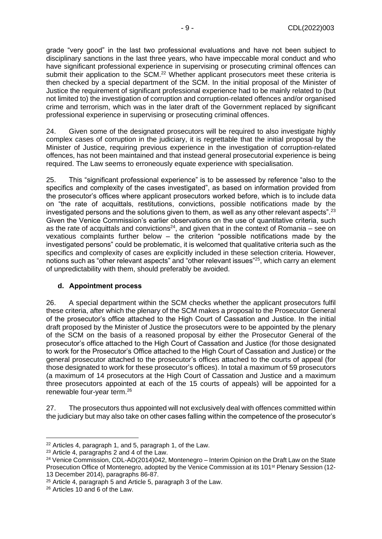grade "very good" in the last two professional evaluations and have not been subject to disciplinary sanctions in the last three years, who have impeccable moral conduct and who have significant professional experience in supervising or prosecuting criminal offences can submit their application to the SCM.<sup>22</sup> Whether applicant prosecutors meet these criteria is then checked by a special department of the SCM. In the initial proposal of the Minister of Justice the requirement of significant professional experience had to be mainly related to (but not limited to) the investigation of corruption and corruption-related offences and/or organised crime and terrorism, which was in the later draft of the Government replaced by significant professional experience in supervising or prosecuting criminal offences.

24. Given some of the designated prosecutors will be required to also investigate highly complex cases of corruption in the judiciary, it is regrettable that the initial proposal by the Minister of Justice, requiring previous experience in the investigation of corruption-related offences, has not been maintained and that instead general prosecutorial experience is being required. The Law seems to erroneously equate experience with specialisation.

25. This "significant professional experience" is to be assessed by reference "also to the specifics and complexity of the cases investigated", as based on information provided from the prosecutor's offices where applicant prosecutors worked before, which is to include data on "the rate of acquittals, restitutions, convictions, possible notifications made by the investigated persons and the solutions given to them, as well as any other relevant aspects".<sup>23</sup> Given the Venice Commission's earlier observations on the use of quantitative criteria, such as the rate of acquittals and convictions<sup>24</sup>, and given that in the context of Romania – see on vexatious complaints further below – the criterion "possible notifications made by the investigated persons" could be problematic, it is welcomed that qualitative criteria such as the specifics and complexity of cases are explicitly included in these selection criteria. However, notions such as "other relevant aspects" and "other relevant issues"<sup>25</sup>, which carry an element of unpredictability with them, should preferably be avoided.

#### <span id="page-8-0"></span>**d. Appointment process**

26. A special department within the SCM checks whether the applicant prosecutors fulfil these criteria, after which the plenary of the SCM makes a proposal to the Prosecutor General of the prosecutor's office attached to the High Court of Cassation and Justice. In the initial draft proposed by the Minister of Justice the prosecutors were to be appointed by the plenary of the SCM on the basis of a reasoned proposal by either the Prosecutor General of the prosecutor's office attached to the High Court of Cassation and Justice (for those designated to work for the Prosecutor's Office attached to the High Court of Cassation and Justice) or the general prosecutor attached to the prosecutor's offices attached to the courts of appeal (for those designated to work for these prosecutor's offices). In total a maximum of 59 prosecutors (a maximum of 14 prosecutors at the High Court of Cassation and Justice and a maximum three prosecutors appointed at each of the 15 courts of appeals) will be appointed for a renewable four-year term. 26

27. The prosecutors thus appointed will not exclusively deal with offences committed within the judiciary but may also take on other cases falling within the competence of the prosecutor's

<sup>22</sup> Articles 4, paragraph 1, and 5, paragraph 1, of the Law.

<sup>23</sup> Article 4, paragraphs 2 and 4 of the Law.

 $24$  Venice Commission, CDL-AD(2014)042, Montenegro – Interim Opinion on the Draft Law on the State Prosecution Office of Montenegro, adopted by the Venice Commission at its 101<sup>st</sup> Plenary Session (12-13 December 2014), paragraphs 86-87.

<sup>25</sup> Article 4, paragraph 5 and Article 5, paragraph 3 of the Law.

<sup>26</sup> Articles 10 and 6 of the Law.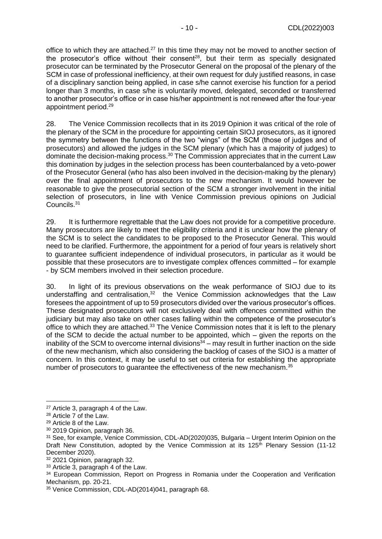office to which they are attached.<sup>27</sup> In this time they may not be moved to another section of the prosecutor's office without their consent<sup>28</sup>, but their term as specially designated prosecutor can be terminated by the Prosecutor General on the proposal of the plenary of the SCM in case of professional inefficiency, at their own request for duly justified reasons, in case of a disciplinary sanction being applied, in case s/he cannot exercise his function for a period longer than 3 months, in case s/he is voluntarily moved, delegated, seconded or transferred to another prosecutor's office or in case his/her appointment is not renewed after the four-year appointment period.<sup>29</sup>

28. The Venice Commission recollects that in its 2019 Opinion it was critical of the role of the plenary of the SCM in the procedure for appointing certain SIOJ prosecutors, as it ignored the symmetry between the functions of the two "wings" of the SCM (those of judges and of prosecutors) and allowed the judges in the SCM plenary (which has a majority of judges) to dominate the decision-making process.<sup>30</sup> The Commission appreciates that in the current Law this domination by judges in the selection process has been counterbalanced by a veto-power of the Prosecutor General (who has also been involved in the decision-making by the plenary) over the final appointment of prosecutors to the new mechanism. It would however be reasonable to give the prosecutorial section of the SCM a stronger involvement in the initial selection of prosecutors, in line with Venice Commission previous opinions on Judicial Councils.<sup>31</sup>

29. It is furthermore regrettable that the Law does not provide for a competitive procedure. Many prosecutors are likely to meet the eligibility criteria and it is unclear how the plenary of the SCM is to select the candidates to be proposed to the Prosecutor General. This would need to be clarified. Furthermore, the appointment for a period of four years is relatively short to guarantee sufficient independence of individual prosecutors, in particular as it would be possible that these prosecutors are to investigate complex offences committed – for example - by SCM members involved in their selection procedure.

30. In light of its previous observations on the weak performance of SIOJ due to its understaffing and centralisation,<sup>32</sup> the Venice Commission acknowledges that the Law foresees the appointment of up to 59 prosecutors divided over the various prosecutor's offices. These designated prosecutors will not exclusively deal with offences committed within the judiciary but may also take on other cases falling within the competence of the prosecutor's office to which they are attached.<sup>33</sup> The Venice Commission notes that it is left to the plenary of the SCM to decide the actual number to be appointed, which – given the reports on the inability of the SCM to overcome internal divisions<sup>34</sup> – may result in further inaction on the side of the new mechanism, which also considering the backlog of cases of the SIOJ is a matter of concern. In this context, it may be useful to set out criteria for establishing the appropriate number of prosecutors to guarantee the effectiveness of the new mechanism.<sup>35</sup>

<sup>32</sup> 2021 Opinion, paragraph 32.

<sup>27</sup> Article 3, paragraph 4 of the Law.

<sup>28</sup> Article 7 of the Law.

<sup>29</sup> Article 8 of the Law.

<sup>30</sup> 2019 Opinion, paragraph 36.

<sup>&</sup>lt;sup>31</sup> See, for example, Venice Commission, CDL-AD(2020)035, Bulgaria – Urgent Interim Opinion on the Draft New Constitution, adopted by the Venice Commission at its 125<sup>th</sup> Plenary Session (11-12) December 2020).

<sup>33</sup> Article 3, paragraph 4 of the Law.

<sup>&</sup>lt;sup>34</sup> European Commission, Report on Progress in Romania under the Cooperation and Verification Mechanism, pp. 20-21.

<sup>35</sup> Venice Commission, CDL-AD(2014)041, paragraph 68.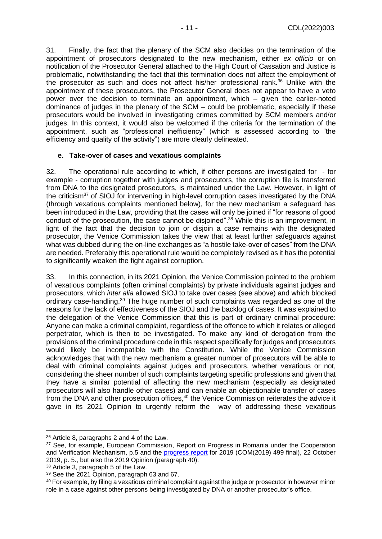31. Finally, the fact that the plenary of the SCM also decides on the termination of the appointment of prosecutors designated to the new mechanism, either *ex officio* or on notification of the Prosecutor General attached to the High Court of Cassation and Justice is problematic, notwithstanding the fact that this termination does not affect the employment of the prosecutor as such and does not affect his/her professional rank.<sup>36</sup> Unlike with the appointment of these prosecutors, the Prosecutor General does not appear to have a veto power over the decision to terminate an appointment, which – given the earlier-noted dominance of judges in the plenary of the SCM – could be problematic, especially if these prosecutors would be involved in investigating crimes committed by SCM members and/or judges. In this context, it would also be welcomed if the criteria for the termination of the appointment, such as "professional inefficiency" (which is assessed according to "the efficiency and quality of the activity") are more clearly delineated.

#### <span id="page-10-0"></span>**e. Take-over of cases and vexatious complaints**

32. The operational rule according to which, if other persons are investigated for - for example - corruption together with judges and prosecutors, the corruption file is transferred from DNA to the designated prosecutors, is maintained under the Law. However, in light of the criticism<sup>37</sup> of SIOJ for intervening in high-level corruption cases investigated by the DNA (through vexatious complaints mentioned below), for the new mechanism a safeguard has been introduced in the Law, providing that the cases will only be joined if "for reasons of good conduct of the prosecution, the case cannot be disjoined". <sup>38</sup> While this is an improvement, in light of the fact that the decision to join or disjoin a case remains with the designated prosecutor, the Venice Commission takes the view that at least further safeguards against what was dubbed during the on-line exchanges as "a hostile take-over of cases" from the DNA are needed. Preferably this operational rule would be completely revised as it has the potential to significantly weaken the fight against corruption.

33. In this connection, in its 2021 Opinion, the Venice Commission pointed to the problem of vexatious complaints (often criminal complaints) by private individuals against judges and prosecutors, which *inter alia* allowed SIOJ to take over cases (see above) and which blocked ordinary case-handling.<sup>39</sup> The huge number of such complaints was regarded as one of the reasons for the lack of effectiveness of the SIOJ and the backlog of cases. It was explained to the delegation of the Venice Commission that this is part of ordinary criminal procedure: Anyone can make a criminal complaint, regardless of the offence to which it relates or alleged perpetrator, which is then to be investigated. To make any kind of derogation from the provisions of the criminal procedure code in this respect specifically for judges and prosecutors would likely be incompatible with the Constitution. While the Venice Commission acknowledges that with the new mechanism a greater number of prosecutors will be able to deal with criminal complaints against judges and prosecutors, whether vexatious or not, considering the sheer number of such complaints targeting specific professions and given that they have a similar potential of affecting the new mechanism (especially as designated prosecutors will also handle other cases) and can enable an objectionable transfer of cases from the DNA and other prosecution offices,<sup>40</sup> the Venice Commission reiterates the advice it gave in its 2021 Opinion to urgently reform the way of addressing these vexatious

<sup>36</sup> Article 8, paragraphs 2 and 4 of the Law.

<sup>&</sup>lt;sup>37</sup> See, for example, European Commission, Report on Progress in Romania under the Cooperation and Verification Mechanism, p.5 and the [progress report](https://ec.europa.eu/info/sites/default/files/progress-report-romania-2019-com-2019-499_en.pdf) for 2019 (COM(2019) 499 final), 22 October 2019, p. 5., but also the 2019 Opinion (paragraph 40).

<sup>38</sup> Article 3, paragraph 5 of the Law.

<sup>39</sup> See the 2021 Opinion, paragraph 63 and 67.

<sup>40</sup> For example, by filing a vexatious criminal complaint against the judge or prosecutor in however minor role in a case against other persons being investigated by DNA or another prosecutor's office.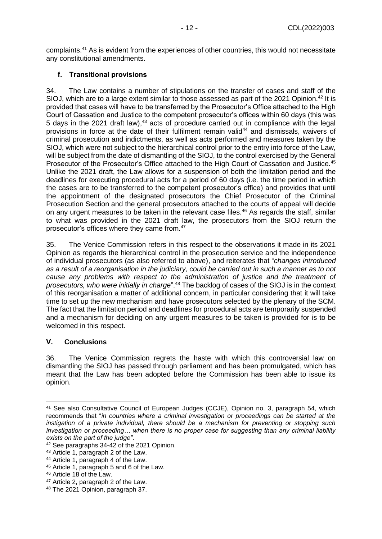complaints.<sup>41</sup> As is evident from the experiences of other countries, this would not necessitate any constitutional amendments.

### <span id="page-11-0"></span>**f. Transitional provisions**

34. The Law contains a number of stipulations on the transfer of cases and staff of the SIOJ, which are to a large extent similar to those assessed as part of the 2021 Opinion.<sup>42</sup> It is provided that cases will have to be transferred by the Prosecutor's Office attached to the High Court of Cassation and Justice to the competent prosecutor's offices within 60 days (this was 5 days in the 2021 draft law),<sup>43</sup> acts of procedure carried out in compliance with the legal provisions in force at the date of their fulfilment remain valid<sup>44</sup> and dismissals, waivers of criminal prosecution and indictments, as well as acts performed and measures taken by the SIOJ, which were not subject to the hierarchical control prior to the entry into force of the Law, will be subject from the date of dismantling of the SIOJ, to the control exercised by the General Prosecutor of the Prosecutor's Office attached to the High Court of Cassation and Justice.<sup>45</sup> Unlike the 2021 draft, the Law allows for a suspension of both the limitation period and the deadlines for executing procedural acts for a period of 60 days (i.e. the time period in which the cases are to be transferred to the competent prosecutor's office) and provides that until the appointment of the designated prosecutors the Chief Prosecutor of the Criminal Prosecution Section and the general prosecutors attached to the courts of appeal will decide on any urgent measures to be taken in the relevant case files.<sup>46</sup> As regards the staff, similar to what was provided in the 2021 draft law, the prosecutors from the SIOJ return the prosecutor's offices where they came from.<sup>47</sup>

35. The Venice Commission refers in this respect to the observations it made in its 2021 Opinion as regards the hierarchical control in the prosecution service and the independence of individual prosecutors (as also referred to above), and reiterates that "*changes introduced as a result of a reorganisation in the judiciary, could be carried out in such a manner as to not cause any problems with respect to the administration of justice and the treatment of prosecutors, who were initially in charge*".<sup>48</sup> The backlog of cases of the SIOJ is in the context of this reorganisation a matter of additional concern, in particular considering that it will take time to set up the new mechanism and have prosecutors selected by the plenary of the SCM. The fact that the limitation period and deadlines for procedural acts are temporarily suspended and a mechanism for deciding on any urgent measures to be taken is provided for is to be welcomed in this respect.

#### <span id="page-11-1"></span>**V. Conclusions**

36. The Venice Commission regrets the haste with which this controversial law on dismantling the SIOJ has passed through parliament and has been promulgated, which has meant that the Law has been adopted before the Commission has been able to issue its opinion.

<sup>&</sup>lt;sup>41</sup> See also Consultative Council of European Judges (CCJE), Opinion no. 3, paragraph 54, which recommends that "*in countries where a criminal investigation or proceedings can be started at the instigation of a private individual, there should be a mechanism for preventing or stopping such investigation or proceeding… when there is no proper case for suggesting than any criminal liability exists on the part of the judge"*.

<sup>42</sup> See paragraphs 34-42 of the 2021 Opinion.

<sup>43</sup> Article 1, paragraph 2 of the Law.

<sup>44</sup> Article 1, paragraph 4 of the Law.

<sup>45</sup> Article 1, paragraph 5 and 6 of the Law.

<sup>46</sup> Article 18 of the Law.

<sup>47</sup> Article 2, paragraph 2 of the Law.

<sup>48</sup> The 2021 Opinion, paragraph 37.